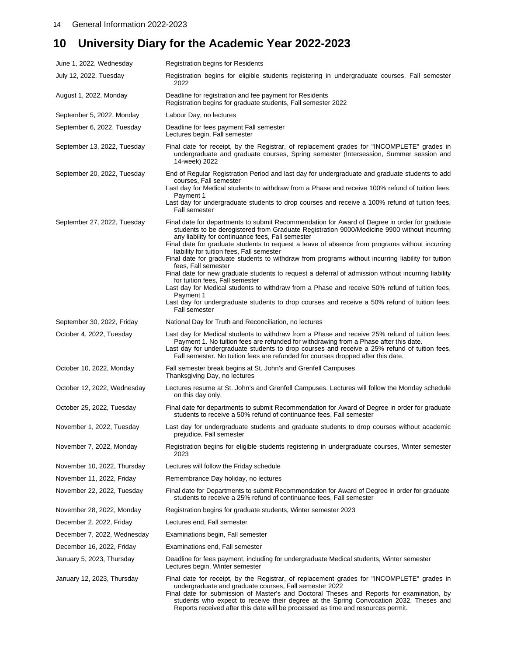## **10 University Diary for the Academic Year 2022-2023**

| June 1, 2022, Wednesday     | <b>Registration begins for Residents</b>                                                                                                                                                                                                                                                                                                                                                                                                                                                                                                                                                                                                                                                                                                                                                                                                                                                                 |
|-----------------------------|----------------------------------------------------------------------------------------------------------------------------------------------------------------------------------------------------------------------------------------------------------------------------------------------------------------------------------------------------------------------------------------------------------------------------------------------------------------------------------------------------------------------------------------------------------------------------------------------------------------------------------------------------------------------------------------------------------------------------------------------------------------------------------------------------------------------------------------------------------------------------------------------------------|
| July 12, 2022, Tuesday      | Registration begins for eligible students registering in undergraduate courses, Fall semester<br>2022                                                                                                                                                                                                                                                                                                                                                                                                                                                                                                                                                                                                                                                                                                                                                                                                    |
| August 1, 2022, Monday      | Deadline for registration and fee payment for Residents<br>Registration begins for graduate students, Fall semester 2022                                                                                                                                                                                                                                                                                                                                                                                                                                                                                                                                                                                                                                                                                                                                                                                 |
| September 5, 2022, Monday   | Labour Day, no lectures                                                                                                                                                                                                                                                                                                                                                                                                                                                                                                                                                                                                                                                                                                                                                                                                                                                                                  |
| September 6, 2022, Tuesday  | Deadline for fees payment Fall semester<br>Lectures begin, Fall semester                                                                                                                                                                                                                                                                                                                                                                                                                                                                                                                                                                                                                                                                                                                                                                                                                                 |
| September 13, 2022, Tuesday | Final date for receipt, by the Registrar, of replacement grades for "INCOMPLETE" grades in<br>undergraduate and graduate courses, Spring semester (Intersession, Summer session and<br>14-week) 2022                                                                                                                                                                                                                                                                                                                                                                                                                                                                                                                                                                                                                                                                                                     |
| September 20, 2022, Tuesday | End of Regular Registration Period and last day for undergraduate and graduate students to add<br>courses, Fall semester<br>Last day for Medical students to withdraw from a Phase and receive 100% refund of tuition fees,<br>Payment 1<br>Last day for undergraduate students to drop courses and receive a 100% refund of tuition fees,<br><b>Fall semester</b>                                                                                                                                                                                                                                                                                                                                                                                                                                                                                                                                       |
| September 27, 2022, Tuesday | Final date for departments to submit Recommendation for Award of Degree in order for graduate<br>students to be deregistered from Graduate Registration 9000/Medicine 9900 without incurring<br>any liability for continuance fees, Fall semester<br>Final date for graduate students to request a leave of absence from programs without incurring<br>liability for tuition fees, Fall semester<br>Final date for graduate students to withdraw from programs without incurring liability for tuition<br>fees, Fall semester<br>Final date for new graduate students to request a deferral of admission without incurring liability<br>for tuition fees, Fall semester<br>Last day for Medical students to withdraw from a Phase and receive 50% refund of tuition fees,<br>Payment 1<br>Last day for undergraduate students to drop courses and receive a 50% refund of tuition fees,<br>Fall semester |
| September 30, 2022, Friday  | National Day for Truth and Reconciliation, no lectures                                                                                                                                                                                                                                                                                                                                                                                                                                                                                                                                                                                                                                                                                                                                                                                                                                                   |
| October 4, 2022, Tuesday    | Last day for Medical students to withdraw from a Phase and receive 25% refund of tuition fees,<br>Payment 1. No tuition fees are refunded for withdrawing from a Phase after this date.<br>Last day for undergraduate students to drop courses and receive a 25% refund of tuition fees,<br>Fall semester. No tuition fees are refunded for courses dropped after this date.                                                                                                                                                                                                                                                                                                                                                                                                                                                                                                                             |
| October 10, 2022, Monday    | Fall semester break begins at St. John's and Grenfell Campuses<br>Thanksgiving Day, no lectures                                                                                                                                                                                                                                                                                                                                                                                                                                                                                                                                                                                                                                                                                                                                                                                                          |
| October 12, 2022, Wednesday | Lectures resume at St. John's and Grenfell Campuses. Lectures will follow the Monday schedule<br>on this day only.                                                                                                                                                                                                                                                                                                                                                                                                                                                                                                                                                                                                                                                                                                                                                                                       |
| October 25, 2022, Tuesday   | Final date for departments to submit Recommendation for Award of Degree in order for graduate<br>students to receive a 50% refund of continuance fees, Fall semester                                                                                                                                                                                                                                                                                                                                                                                                                                                                                                                                                                                                                                                                                                                                     |
| November 1, 2022, Tuesday   | Last day for undergraduate students and graduate students to drop courses without academic<br>prejudice, Fall semester                                                                                                                                                                                                                                                                                                                                                                                                                                                                                                                                                                                                                                                                                                                                                                                   |
| November 7, 2022, Monday    | Registration begins for eligible students registering in undergraduate courses, Winter semester<br>2023                                                                                                                                                                                                                                                                                                                                                                                                                                                                                                                                                                                                                                                                                                                                                                                                  |
| November 10, 2022, Thursday | Lectures will follow the Friday schedule                                                                                                                                                                                                                                                                                                                                                                                                                                                                                                                                                                                                                                                                                                                                                                                                                                                                 |
| November 11, 2022, Friday   | Remembrance Day holiday, no lectures                                                                                                                                                                                                                                                                                                                                                                                                                                                                                                                                                                                                                                                                                                                                                                                                                                                                     |
| November 22, 2022, Tuesday  | Final date for Departments to submit Recommendation for Award of Degree in order for graduate<br>students to receive a 25% refund of continuance fees, Fall semester                                                                                                                                                                                                                                                                                                                                                                                                                                                                                                                                                                                                                                                                                                                                     |
| November 28, 2022, Monday   | Registration begins for graduate students, Winter semester 2023                                                                                                                                                                                                                                                                                                                                                                                                                                                                                                                                                                                                                                                                                                                                                                                                                                          |
| December 2, 2022, Friday    | Lectures end, Fall semester                                                                                                                                                                                                                                                                                                                                                                                                                                                                                                                                                                                                                                                                                                                                                                                                                                                                              |
| December 7, 2022, Wednesday | Examinations begin, Fall semester                                                                                                                                                                                                                                                                                                                                                                                                                                                                                                                                                                                                                                                                                                                                                                                                                                                                        |
| December 16, 2022, Friday   | Examinations end, Fall semester                                                                                                                                                                                                                                                                                                                                                                                                                                                                                                                                                                                                                                                                                                                                                                                                                                                                          |
| January 5, 2023, Thursday   | Deadline for fees payment, including for undergraduate Medical students, Winter semester<br>Lectures begin, Winter semester                                                                                                                                                                                                                                                                                                                                                                                                                                                                                                                                                                                                                                                                                                                                                                              |
| January 12, 2023, Thursday  | Final date for receipt, by the Registrar, of replacement grades for "INCOMPLETE" grades in<br>undergraduate and graduate courses, Fall semester 2022<br>Final date for submission of Master's and Doctoral Theses and Reports for examination, by<br>students who expect to receive their degree at the Spring Convocation 2032. Theses and                                                                                                                                                                                                                                                                                                                                                                                                                                                                                                                                                              |

Reports received after this date will be processed as time and resources permit.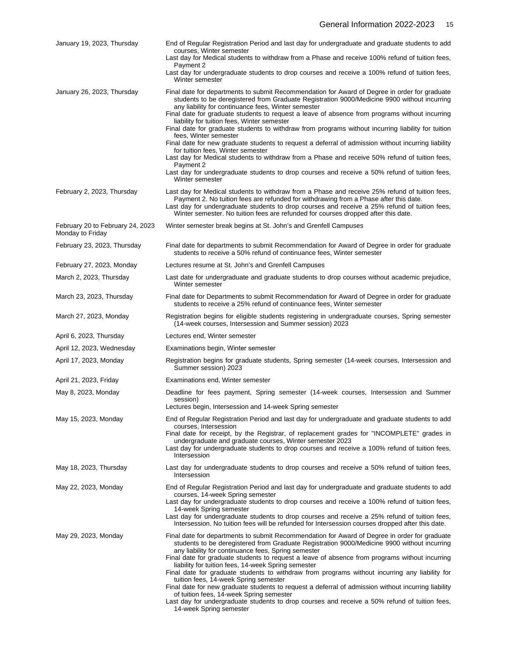| January 19, 2023, Thursday                           | End of Regular Registration Period and last day for undergraduate and graduate students to add<br>courses, Winter semester<br>Last day for Medical students to withdraw from a Phase and receive 100% refund of tuition fees,<br>Payment 2<br>Last day for undergraduate students to drop courses and receive a 100% refund of tuition fees,<br>Winter semester                                                                                                                                                                                                                                                                                                                                                                                                                                                                                                                                                    |
|------------------------------------------------------|--------------------------------------------------------------------------------------------------------------------------------------------------------------------------------------------------------------------------------------------------------------------------------------------------------------------------------------------------------------------------------------------------------------------------------------------------------------------------------------------------------------------------------------------------------------------------------------------------------------------------------------------------------------------------------------------------------------------------------------------------------------------------------------------------------------------------------------------------------------------------------------------------------------------|
| January 26, 2023, Thursday                           | Final date for departments to submit Recommendation for Award of Degree in order for graduate<br>students to be deregistered from Graduate Registration 9000/Medicine 9900 without incurring<br>any liability for continuance fees, Winter semester<br>Final date for graduate students to request a leave of absence from programs without incurring<br>liability for tuition fees, Winter semester<br>Final date for graduate students to withdraw from programs without incurring liability for tuition<br>fees, Winter semester<br>Final date for new graduate students to request a deferral of admission without incurring liability<br>for tuition fees, Winter semester<br>Last day for Medical students to withdraw from a Phase and receive 50% refund of tuition fees,<br>Payment 2<br>Last day for undergraduate students to drop courses and receive a 50% refund of tuition fees,<br>Winter semester |
| February 2, 2023, Thursday                           | Last day for Medical students to withdraw from a Phase and receive 25% refund of tuition fees,<br>Payment 2. No tuition fees are refunded for withdrawing from a Phase after this date.<br>Last day for undergraduate students to drop courses and receive a 25% refund of tuition fees,<br>Winter semester. No tuition fees are refunded for courses dropped after this date.                                                                                                                                                                                                                                                                                                                                                                                                                                                                                                                                     |
| February 20 to February 24, 2023<br>Monday to Friday | Winter semester break begins at St. John's and Grenfell Campuses                                                                                                                                                                                                                                                                                                                                                                                                                                                                                                                                                                                                                                                                                                                                                                                                                                                   |
| February 23, 2023, Thursday                          | Final date for departments to submit Recommendation for Award of Degree in order for graduate<br>students to receive a 50% refund of continuance fees, Winter semester                                                                                                                                                                                                                                                                                                                                                                                                                                                                                                                                                                                                                                                                                                                                             |
| February 27, 2023, Monday                            | Lectures resume at St. John's and Grenfell Campuses                                                                                                                                                                                                                                                                                                                                                                                                                                                                                                                                                                                                                                                                                                                                                                                                                                                                |
| March 2, 2023, Thursday                              | Last date for undergraduate and graduate students to drop courses without academic prejudice,<br>Winter semester                                                                                                                                                                                                                                                                                                                                                                                                                                                                                                                                                                                                                                                                                                                                                                                                   |
| March 23, 2023, Thursday                             | Final date for Departments to submit Recommendation for Award of Degree in order for graduate<br>students to receive a 25% refund of continuance fees, Winter semester                                                                                                                                                                                                                                                                                                                                                                                                                                                                                                                                                                                                                                                                                                                                             |
| March 27, 2023, Monday                               | Registration begins for eligible students registering in undergraduate courses, Spring semester<br>(14-week courses, Intersession and Summer session) 2023                                                                                                                                                                                                                                                                                                                                                                                                                                                                                                                                                                                                                                                                                                                                                         |
| April 6, 2023, Thursday                              | Lectures end, Winter semester                                                                                                                                                                                                                                                                                                                                                                                                                                                                                                                                                                                                                                                                                                                                                                                                                                                                                      |
| April 12, 2023, Wednesday                            | Examinations begin, Winter semester                                                                                                                                                                                                                                                                                                                                                                                                                                                                                                                                                                                                                                                                                                                                                                                                                                                                                |
| April 17, 2023, Monday                               | Registration begins for graduate students, Spring semester (14-week courses, Intersession and<br>Summer session) 2023                                                                                                                                                                                                                                                                                                                                                                                                                                                                                                                                                                                                                                                                                                                                                                                              |
| April 21, 2023, Friday                               | Examinations end, Winter semester                                                                                                                                                                                                                                                                                                                                                                                                                                                                                                                                                                                                                                                                                                                                                                                                                                                                                  |
| May 8, 2023, Monday                                  | Deadline for fees payment, Spring semester (14-week courses, Intersession and Summer<br>session)<br>Lectures begin, Intersession and 14-week Spring semester                                                                                                                                                                                                                                                                                                                                                                                                                                                                                                                                                                                                                                                                                                                                                       |
| May 15, 2023, Monday                                 | End of Regular Registration Period and last day for undergraduate and graduate students to add<br>courses, Intersession<br>Final date for receipt, by the Registrar, of replacement grades for "INCOMPLETE" grades in<br>undergraduate and graduate courses, Winter semester 2023<br>Last day for undergraduate students to drop courses and receive a 100% refund of tuition fees,<br>Intersession                                                                                                                                                                                                                                                                                                                                                                                                                                                                                                                |
| May 18, 2023, Thursday                               | Last day for undergraduate students to drop courses and receive a 50% refund of tuition fees,<br>Intersession                                                                                                                                                                                                                                                                                                                                                                                                                                                                                                                                                                                                                                                                                                                                                                                                      |
| May 22, 2023, Monday                                 | End of Regular Registration Period and last day for undergraduate and graduate students to add<br>courses, 14-week Spring semester<br>Last day for undergraduate students to drop courses and receive a 100% refund of tuition fees,<br>14-week Spring semester<br>Last day for undergraduate students to drop courses and receive a 25% refund of tuition fees,<br>Intersession. No tuition fees will be refunded for Intersession courses dropped after this date.                                                                                                                                                                                                                                                                                                                                                                                                                                               |
| May 29, 2023, Monday                                 | Final date for departments to submit Recommendation for Award of Degree in order for graduate<br>students to be deregistered from Graduate Registration 9000/Medicine 9900 without incurring<br>any liability for continuance fees, Spring semester<br>Final date for graduate students to request a leave of absence from programs without incurring<br>liability for tuition fees, 14-week Spring semester<br>Final date for graduate students to withdraw from programs without incurring any liability for<br>tuition fees, 14-week Spring semester<br>Final date for new graduate students to request a deferral of admission without incurring liability<br>of tuition fees, 14-week Spring semester<br>Last day for undergraduate students to drop courses and receive a 50% refund of tuition fees,<br>14-week Spring semester                                                                             |